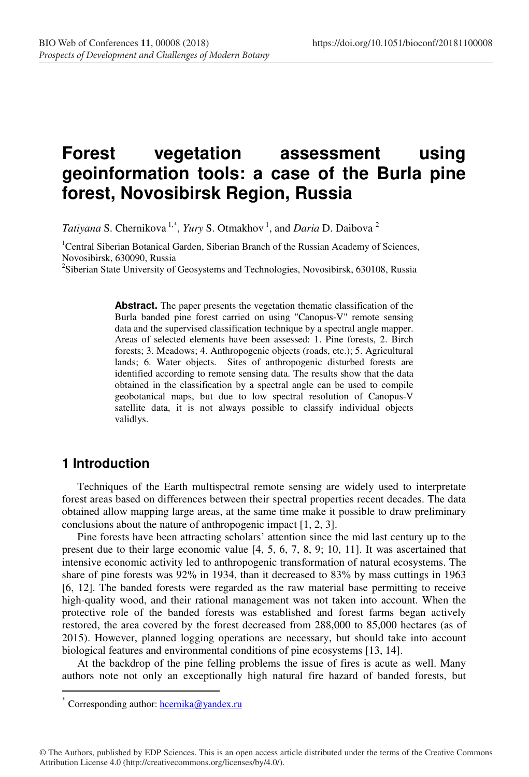# **Forest vegetation assessment using geoinformation tools: a case of the Burla pine forest, Novosibirsk Region, Russia**

*Tatiyana* S. Chernikova<sup>1,\*</sup>, *Yury* S. Otmakhov<sup>1</sup>, and *Daria* D. Daibova<sup>2</sup>

<sup>1</sup>Central Siberian Botanical Garden, Siberian Branch of the Russian Academy of Sciences, Novosibirsk, 630090, Russia

<sup>2</sup>Siberian State University of Geosystems and Technologies, Novosibirsk, 630108, Russia

**Abstract.** The paper presents the vegetation thematic classification of the Burla banded pine forest carried on using "Canopus-V" remote sensing data and the supervised classification technique by a spectral angle mapper. Areas of selected elements have been assessed: 1. Pine forests, 2. Birch forests; 3. Meadows; 4. Anthropogenic objects (roads, etc.); 5. Agricultural lands; 6. Water objects. Sites of anthropogenic disturbed forests are identified according to remote sensing data. The results show that the data obtained in the classification by a spectral angle can be used to compile geobotanical maps, but due to low spectral resolution of Canopus-V satellite data, it is not always possible to classify individual objects validlys.

### **1 Introduction**

 $\overline{a}$ 

Techniques of the Earth multispectral remote sensing are widely used to interpretate forest areas based on differences between their spectral properties recent decades. The data obtained allow mapping large areas, at the same time make it possible to draw preliminary conclusions about the nature of anthropogenic impact [1, 2, 3].

Pine forests have been attracting scholars' attention since the mid last century up to the present due to their large economic value [4, 5, 6, 7, 8, 9; 10, 11]. It was ascertained that intensive economic activity led to anthropogenic transformation of natural ecosystems. The share of pine forests was 92% in 1934, than it decreased to 83% by mass cuttings in 1963 [6, 12]. The banded forests were regarded as the raw material base permitting to receive high-quality wood, and their rational management was not taken into account. When the protective role of the banded forests was established and forest farms began actively restored, the area covered by the forest decreased from 288,000 to 85,000 hectares (as of 2015). However, planned logging operations are necessary, but should take into account biological features and environmental conditions of pine ecosystems [13, 14].

At the backdrop of the pine felling problems the issue of fires is acute as well. Many authors note not only an exceptionally high natural fire hazard of banded forests, but

© The Authors, published by EDP Sciences. This is an open access article distributed under the terms of the Creative Commons Attribution License 4.0 (http://creativecommons.org/licenses/by/4.0/).

Corresponding author:  $hcernika@vander.ru$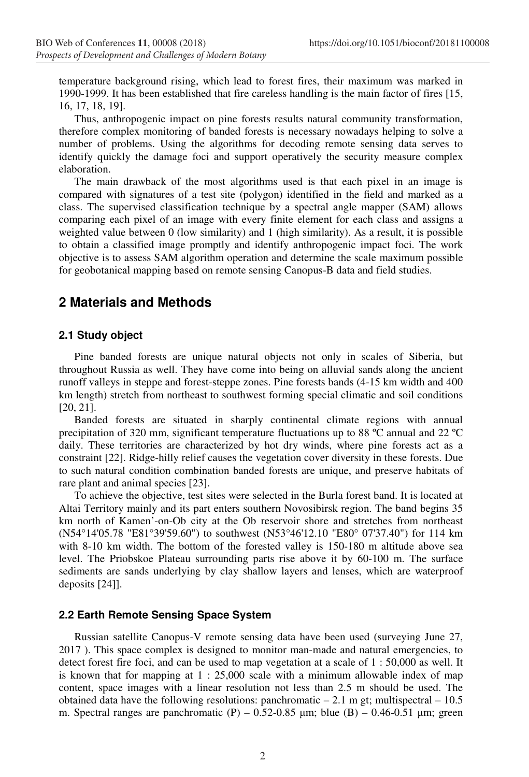temperature background rising, which lead to forest fires, their maximum was marked in 1990-1999. It has been established that fire careless handling is the main factor of fires [15, 16, 17, 18, 19].

Thus, anthropogenic impact on pine forests results natural community transformation, therefore complex monitoring of banded forests is necessary nowadays helping to solve a number of problems. Using the algorithms for decoding remote sensing data serves to identify quickly the damage foci and support operatively the security measure complex elaboration.

The main drawback of the most algorithms used is that each pixel in an image is compared with signatures of a test site (polygon) identified in the field and marked as a class. The supervised classification technique by a spectral angle mapper (SAM) allows comparing each pixel of an image with every finite element for each class and assigns a weighted value between 0 (low similarity) and 1 (high similarity). As a result, it is possible to obtain a classified image promptly and identify anthropogenic impact foci. The work objective is to assess SAM algorithm operation and determine the scale maximum possible for geobotanical mapping based on remote sensing Canopus-B data and field studies.

## **2 Materials and Methods**

### **2.1 Study object**

Pine banded forests are unique natural objects not only in scales of Siberia, but throughout Russia as well. They have come into being on alluvial sands along the ancient runoff valleys in steppe and forest-steppe zones. Pine forests bands (4-15 km width and 400 km length) stretch from northeast to southwest forming special climatic and soil conditions [20, 21].

Banded forests are situated in sharply continental climate regions with annual precipitation of 320 mm, significant temperature fluctuations up to 88 ºC annual and 22 ºC daily. These territories are characterized by hot dry winds, where pine forests act as a constraint [22]. Ridge-hilly relief causes the vegetation cover diversity in these forests. Due to such natural condition combination banded forests are unique, and preserve habitats of rare plant and animal species [23].

To achieve the objective, test sites were selected in the Burla forest band. It is located at Altai Territory mainly and its part enters southern Novosibirsk region. The band begins 35 km north of Kamen'-on-Ob city at the Ob reservoir shore and stretches from northeast (N54°14'05.78 "E81°39'59.60") to southwest (N53°46'12.10 "E80° 07'37.40") for 114 km with 8-10 km width. The bottom of the forested valley is 150-180 m altitude above sea level. The Priobskoe Plateau surrounding parts rise above it by 60-100 m. The surface sediments are sands underlying by clay shallow layers and lenses, which are waterproof deposits [24]].

#### **2.2 Earth Remote Sensing Space System**

Russian satellite Canopus-V remote sensing data have been used (surveying June 27, 2017 ). This space complex is designed to monitor man-made and natural emergencies, to detect forest fire foci, and can be used to map vegetation at a scale of 1 : 50,000 as well. It is known that for mapping at 1 : 25,000 scale with a minimum allowable index of map content, space images with a linear resolution not less than 2.5 m should be used. The obtained data have the following resolutions: panchromatic  $-2.1$  m gt; multispectral  $-10.5$ m. Spectral ranges are panchromatic (P) – 0.52-0.85  $\mu$ m; blue (B) – 0.46-0.51  $\mu$ m; green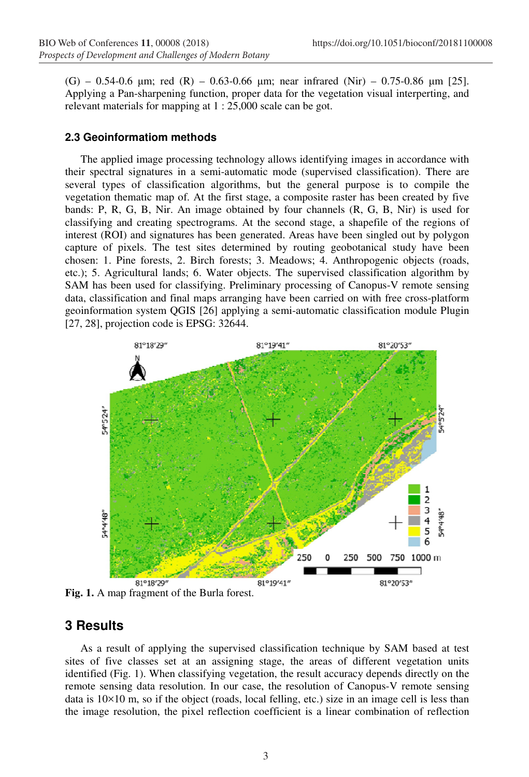$(G)$  – 0.54-0.6  $\mu$ m; red (R) – 0.63-0.66  $\mu$ m; near infrared (Nir) – 0.75-0.86  $\mu$ m [25]. Applying a Pan-sharpening function, proper data for the vegetation visual interperting, and relevant materials for mapping at 1 : 25,000 scale can be got.

#### **2.3 Geoinformatiom methods**

The applied image processing technology allows identifying images in accordance with their spectral signatures in a semi-automatic mode (supervised classification). There are several types of classification algorithms, but the general purpose is to compile the vegetation thematic map of. At the first stage, a composite raster has been created by five bands: P, R, G, B, Nir. An image obtained by four channels (R, G, B, Nir) is used for classifying and creating spectrograms. At the second stage, a shapefile of the regions of interest (ROI) and signatures has been generated. Areas have been singled out by polygon capture of pixels. The test sites determined by routing geobotanical study have been chosen: 1. Pine forests, 2. Birch forests; 3. Meadows; 4. Anthropogenic objects (roads, etc.); 5. Agricultural lands; 6. Water objects. The supervised classification algorithm by SAM has been used for classifying. Preliminary processing of Canopus-V remote sensing data, classification and final maps arranging have been carried on with free cross-platform geoinformation system QGIS [26] applying a semi-automatic classification module Plugin [27, 28], projection code is EPSG: 32644.



### **3 Results**

As a result of applying the supervised classification technique by SAM based at test sites of five classes set at an assigning stage, the areas of different vegetation units identified (Fig. 1). When classifying vegetation, the result accuracy depends directly on the remote sensing data resolution. In our case, the resolution of Canopus-V remote sensing data is  $10\times10$  m, so if the object (roads, local felling, etc.) size in an image cell is less than the image resolution, the pixel reflection coefficient is a linear combination of reflection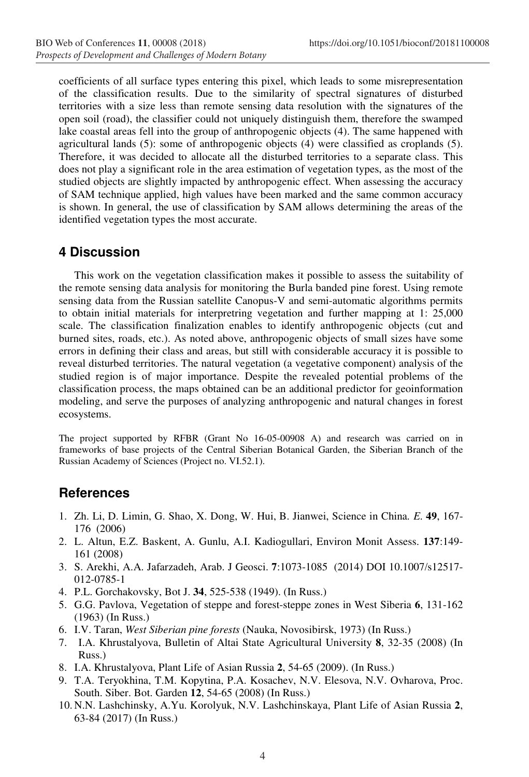coefficients of all surface types entering this pixel, which leads to some misrepresentation of the classification results. Due to the similarity of spectral signatures of disturbed territories with a size less than remote sensing data resolution with the signatures of the open soil (road), the classifier could not uniquely distinguish them, therefore the swamped lake coastal areas fell into the group of anthropogenic objects (4). The same happened with agricultural lands (5): some of anthropogenic objects (4) were classified as croplands (5). Therefore, it was decided to allocate all the disturbed territories to a separate class. This does not play a significant role in the area estimation of vegetation types, as the most of the studied objects are slightly impacted by anthropogenic effect. When assessing the accuracy of SAM technique applied, high values have been marked and the same common accuracy is shown. In general, the use of classification by SAM allows determining the areas of the identified vegetation types the most accurate.

### **4 Discussion**

This work on the vegetation classification makes it possible to assess the suitability of the remote sensing data analysis for monitoring the Burla banded pine forest. Using remote sensing data from the Russian satellite Canopus-V and semi-automatic algorithms permits to obtain initial materials for interpretring vegetation and further mapping at 1: 25,000 scale. The classification finalization enables to identify anthropogenic objects (cut and burned sites, roads, etc.). As noted above, anthropogenic objects of small sizes have some errors in defining their class and areas, but still with considerable accuracy it is possible to reveal disturbed territories. The natural vegetation (a vegetative component) analysis of the studied region is of major importance. Despite the revealed potential problems of the classification process, the maps obtained can be an additional predictor for geoinformation modeling, and serve the purposes of analyzing anthropogenic and natural changes in forest ecosystems.

The project supported by RFBR (Grant No 16-05-00908 А) and research was carried on in frameworks of base projects of the Central Siberian Botanical Garden, the Siberian Branch of the Russian Academy of Sciences (Project no. VI.52.1).

### **References**

- 1. Zh. Li, D. Limin, G. Shao, X. Dong, W. Hui, B. Jianwei, Science in China*. E*. **49**, 167- 176 (2006)
- 2. L. Altun, E.Z. Baskent, A. Gunlu, A.I. Kadiogullari, Environ Monit Assess. **137**:149- 161 (2008)
- 3. S. Arekhi, A.A. Jafarzadeh, Arab. J Geosci. **7**:1073-1085(2014) DOI 10.1007/s12517- 012-0785-1
- 4. P.L. Gorchakovsky, Bot J. **34**, 525-538 (1949). (In Russ.)
- 5. G.G. Pavlova, Vegetation of steppe and forest-steppe zones in West Siberia **6**, 131-162 (1963) (In Russ.)
- 6. I.V. Taran, *West Siberian pine forests* (Nauka, Novosibirsk, 1973) (In Russ.)
- 7. I.A. Khrustalyova, Bulletin of Altai State Agricultural University **8**, 32-35 (2008) (In Russ.)
- 8. I.A. Khrustalyova, Plant Life of Asian Russia **2**, 54-65 (2009). (In Russ.)
- 9. T.A. Teryokhina, T.M. Kopytina, P.A. Kosachev, N.V. Elesova, N.V. Ovharova, Proc. South. Siber. Bot. Garden **12**, 54-65 (2008) (In Russ.)
- 10. N.N. Lashchinsky, A.Yu. Korolyuk, N.V. Lashchinskaya, Plant Life of Asian Russia **2**, 63-84 (2017) (In Russ.)